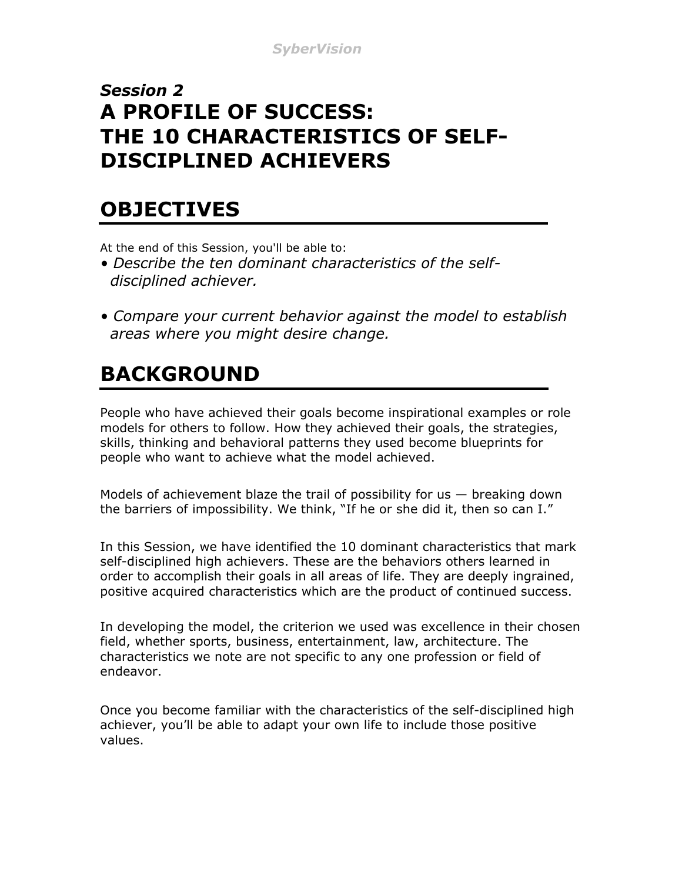#### *Session 2* **A PROFILE OF SUCCESS: THE 10 CHARACTERISTICS OF SELF-DISCIPLINED ACHIEVERS**

#### **OBJECTIVES**

At the end of this Session, you'll be able to:

- *Describe the ten dominant characteristics of the self disciplined achiever.*
- *Compare your current behavior against the model to establish areas where you might desire change.*

## **BACKGROUND**

People who have achieved their goals become inspirational examples or role models for others to follow. How they achieved their goals, the strategies, skills, thinking and behavioral patterns they used become blueprints for people who want to achieve what the model achieved.

Models of achievement blaze the trail of possibility for us  $-$  breaking down the barriers of impossibility. We think, "If he or she did it, then so can I."

In this Session, we have identified the 10 dominant characteristics that mark self-disciplined high achievers. These are the behaviors others learned in order to accomplish their goals in all areas of life. They are deeply ingrained, positive acquired characteristics which are the product of continued success.

In developing the model, the criterion we used was excellence in their chosen field, whether sports, business, entertainment, law, architecture. The characteristics we note are not specific to any one profession or field of endeavor.

Once you become familiar with the characteristics of the self-disciplined high achiever, you'll be able to adapt your own life to include those positive values.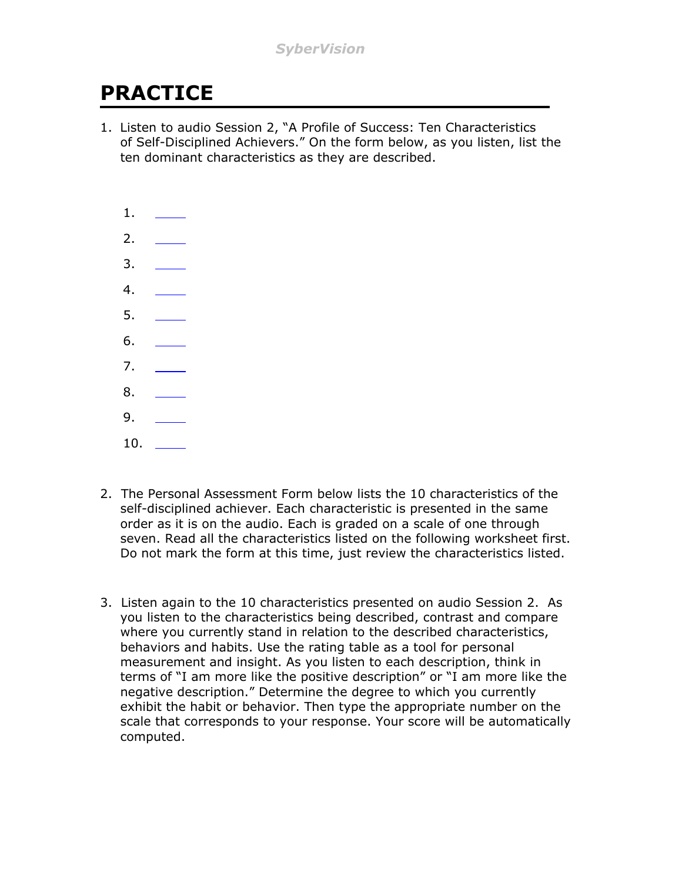### **PRACTICE**

1. Listen to audio Session 2, "A Profile of Success: Ten Characteristics of Self-Disciplined Achievers." On the form below, as you listen, list the ten dominant characteristics as they are described.



- 2. The Personal Assessment Form below lists the 10 characteristics of the self-disciplined achiever. Each characteristic is presented in the same order as it is on the audio. Each is graded on a scale of one through seven. Read all the characteristics listed on the following worksheet first. Do not mark the form at this time, just review the characteristics listed.
- 3. Listen again to the 10 characteristics presented on audio Session 2. As you listen to the characteristics being described, contrast and compare where you currently stand in relation to the described characteristics, behaviors and habits. Use the rating table as a tool for personal measurement and insight. As you listen to each description, think in terms of "I am more like the positive description" or "I am more like the negative description." Determine the degree to which you currently exhibit the habit or behavior. Then type the appropriate number on the scale that corresponds to your response. Your score will be automatically computed.